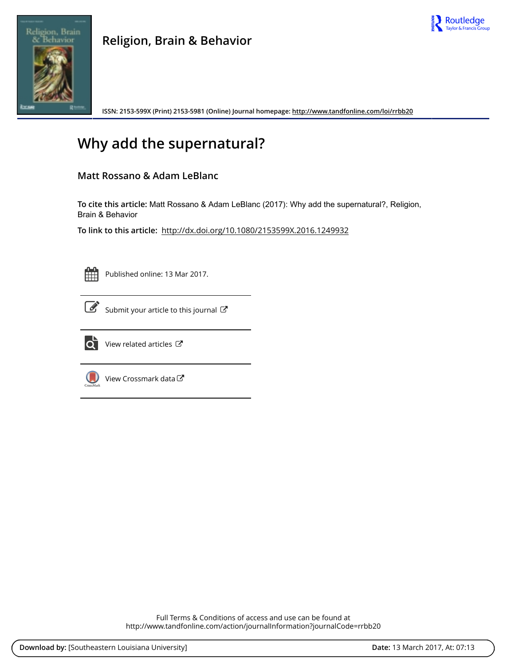



**ISSN: 2153-599X (Print) 2153-5981 (Online) Journal homepage: <http://www.tandfonline.com/loi/rrbb20>**

# **Why add the supernatural?**

# **Matt Rossano & Adam LeBlanc**

**To cite this article:** Matt Rossano & Adam LeBlanc (2017): Why add the supernatural?, Religion, Brain & Behavior

**To link to this article:** <http://dx.doi.org/10.1080/2153599X.2016.1249932>



Published online: 13 Mar 2017.



 $\overrightarrow{S}$  [Submit your article to this journal](http://www.tandfonline.com/action/authorSubmission?journalCode=rrbb20&show=instructions)  $\overrightarrow{S}$ 



 $\overrightarrow{Q}$  [View related articles](http://www.tandfonline.com/doi/mlt/10.1080/2153599X.2016.1249932)  $\overrightarrow{C}$ 



[View Crossmark data](http://crossmark.crossref.org/dialog/?doi=10.1080/2153599X.2016.1249932&domain=pdf&date_stamp=2017-03-13)

Full Terms & Conditions of access and use can be found at <http://www.tandfonline.com/action/journalInformation?journalCode=rrbb20>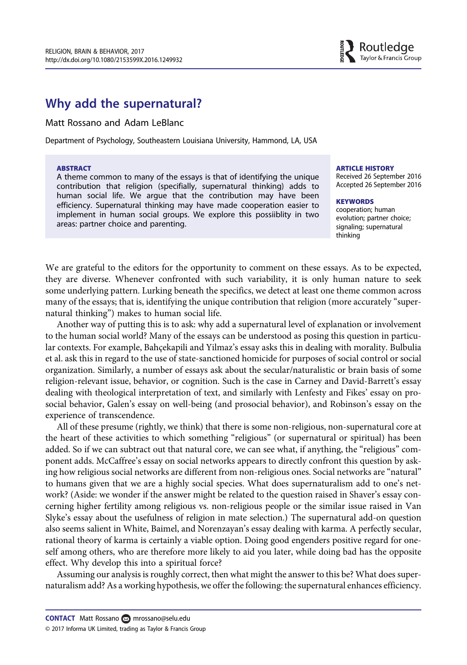# Why add the supernatural?

### Matt Rossano and Adam LeBlanc

Department of Psychology, Southeastern Louisiana University, Hammond, LA, USA

#### ABSTRACT

A theme common to many of the essays is that of identifying the unique contribution that religion (specifially, supernatural thinking) adds to human social life. We argue that the contribution may have been efficiency. Supernatural thinking may have made cooperation easier to implement in human social groups. We explore this possiiblity in two areas: partner choice and parenting.

#### ARTICLE HISTORY

Received 26 September 2016 Accepted 26 September 2016

# **KEYWORDS** cooperation; human

evolution; partner choice; signaling; supernatural thinking

We are grateful to the editors for the opportunity to comment on these essays. As to be expected, they are diverse. Whenever confronted with such variability, it is only human nature to seek some underlying pattern. Lurking beneath the specifics, we detect at least one theme common across many of the essays; that is, identifying the unique contribution that religion (more accurately "supernatural thinking") makes to human social life.

Another way of putting this is to ask: why add a supernatural level of explanation or involvement to the human social world? Many of the essays can be understood as posing this question in particular contexts. For example, Bahçekapili and Yilmaz's essay asks this in dealing with morality. Bulbulia et al. ask this in regard to the use of state-sanctioned homicide for purposes of social control or social organization. Similarly, a number of essays ask about the secular/naturalistic or brain basis of some religion-relevant issue, behavior, or cognition. Such is the case in Carney and David-Barrett's essay dealing with theological interpretation of text, and similarly with Lenfesty and Fikes' essay on prosocial behavior, Galen's essay on well-being (and prosocial behavior), and Robinson's essay on the experience of transcendence.

All of these presume (rightly, we think) that there is some non-religious, non-supernatural core at the heart of these activities to which something "religious" (or supernatural or spiritual) has been added. So if we can subtract out that natural core, we can see what, if anything, the "religious" component adds. McCaffree's essay on social networks appears to directly confront this question by asking how religious social networks are different from non-religious ones. Social networks are "natural" to humans given that we are a highly social species. What does supernaturalism add to one's network? (Aside: we wonder if the answer might be related to the question raised in Shaver's essay concerning higher fertility among religious vs. non-religious people or the similar issue raised in Van Slyke's essay about the usefulness of religion in mate selection.) The supernatural add-on question also seems salient in White, Baimel, and Norenzayan's essay dealing with karma. A perfectly secular, rational theory of karma is certainly a viable option. Doing good engenders positive regard for oneself among others, who are therefore more likely to aid you later, while doing bad has the opposite effect. Why develop this into a spiritual force?

Assuming our analysis is roughly correct, then what might the answer to this be? What does supernaturalism add? As a working hypothesis, we offer the following: the supernatural enhances efficiency.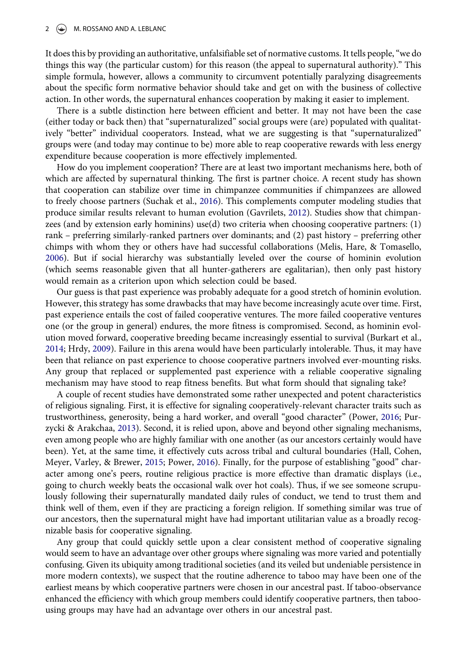<span id="page-2-0"></span>It does this by providing an authoritative, unfalsifiable set of normative customs. It tells people,"we do things this way (the particular custom) for this reason (the appeal to supernatural authority)." This simple formula, however, allows a community to circumvent potentially paralyzing disagreements about the specific form normative behavior should take and get on with the business of collective action. In other words, the supernatural enhances cooperation by making it easier to implement.

There is a subtle distinction here between efficient and better. It may not have been the case (either today or back then) that "supernaturalized" social groups were (are) populated with qualitatively "better" individual cooperators. Instead, what we are suggesting is that "supernaturalized" groups were (and today may continue to be) more able to reap cooperative rewards with less energy expenditure because cooperation is more effectively implemented.

How do you implement cooperation? There are at least two important mechanisms here, both of which are affected by supernatural thinking. The first is partner choice. A recent study has shown that cooperation can stabilize over time in chimpanzee communities if chimpanzees are allowed to freely choose partners (Suchak et al., [2016](#page-3-0)). This complements computer modeling studies that produce similar results relevant to human evolution (Gavrilets, [2012](#page-3-0)). Studies show that chimpanzees (and by extension early hominins) use(d) two criteria when choosing cooperative partners: (1) rank – preferring similarly-ranked partners over dominants; and (2) past history – preferring other chimps with whom they or others have had successful collaborations (Melis, Hare, & Tomasello, [2006](#page-3-0)). But if social hierarchy was substantially leveled over the course of hominin evolution (which seems reasonable given that all hunter-gatherers are egalitarian), then only past history would remain as a criterion upon which selection could be based.

Our guess is that past experience was probably adequate for a good stretch of hominin evolution. However, this strategy has some drawbacks that may have become increasingly acute over time. First, past experience entails the cost of failed cooperative ventures. The more failed cooperative ventures one (or the group in general) endures, the more fitness is compromised. Second, as hominin evolution moved forward, cooperative breeding became increasingly essential to survival (Burkart et al., [2014](#page-3-0); Hrdy, [2009](#page-3-0)). Failure in this arena would have been particularly intolerable. Thus, it may have been that reliance on past experience to choose cooperative partners involved ever-mounting risks. Any group that replaced or supplemented past experience with a reliable cooperative signaling mechanism may have stood to reap fitness benefits. But what form should that signaling take?

A couple of recent studies have demonstrated some rather unexpected and potent characteristics of religious signaling. First, it is effective for signaling cooperatively-relevant character traits such as trustworthiness, generosity, being a hard worker, and overall "good character" (Power, [2016;](#page-3-0) Purzycki & Arakchaa, [2013\)](#page-3-0). Second, it is relied upon, above and beyond other signaling mechanisms, even among people who are highly familiar with one another (as our ancestors certainly would have been). Yet, at the same time, it effectively cuts across tribal and cultural boundaries (Hall, Cohen, Meyer, Varley, & Brewer, [2015](#page-3-0); Power, [2016](#page-3-0)). Finally, for the purpose of establishing "good" character among one's peers, routine religious practice is more effective than dramatic displays (i.e., going to church weekly beats the occasional walk over hot coals). Thus, if we see someone scrupulously following their supernaturally mandated daily rules of conduct, we tend to trust them and think well of them, even if they are practicing a foreign religion. If something similar was true of our ancestors, then the supernatural might have had important utilitarian value as a broadly recognizable basis for cooperative signaling.

Any group that could quickly settle upon a clear consistent method of cooperative signaling would seem to have an advantage over other groups where signaling was more varied and potentially confusing. Given its ubiquity among traditional societies (and its veiled but undeniable persistence in more modern contexts), we suspect that the routine adherence to taboo may have been one of the earliest means by which cooperative partners were chosen in our ancestral past. If taboo-observance enhanced the efficiency with which group members could identify cooperative partners, then taboousing groups may have had an advantage over others in our ancestral past.